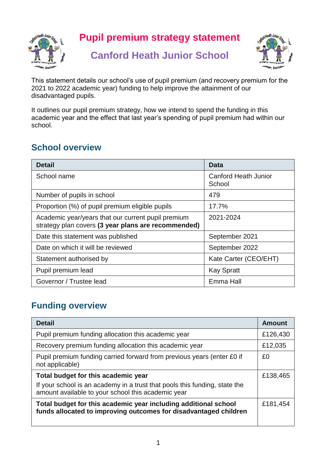

**Pupil premium strategy statement**

## **Canford Heath Junior School**



This statement details our school's use of pupil premium (and recovery premium for the 2021 to 2022 academic year) funding to help improve the attainment of our disadvantaged pupils.

It outlines our pupil premium strategy, how we intend to spend the funding in this academic year and the effect that last year's spending of pupil premium had within our school.

### **School overview**

| <b>Detail</b>                                                                                             | <b>Data</b>                           |
|-----------------------------------------------------------------------------------------------------------|---------------------------------------|
| School name                                                                                               | <b>Canford Heath Junior</b><br>School |
| Number of pupils in school                                                                                | 479                                   |
| Proportion (%) of pupil premium eligible pupils                                                           | 17.7%                                 |
| Academic year/years that our current pupil premium<br>strategy plan covers (3 year plans are recommended) | 2021-2024                             |
| Date this statement was published                                                                         | September 2021                        |
| Date on which it will be reviewed                                                                         | September 2022                        |
| Statement authorised by                                                                                   | Kate Carter (CEO/EHT)                 |
| Pupil premium lead                                                                                        | <b>Kay Spratt</b>                     |
| Governor / Trustee lead                                                                                   | Emma Hall                             |

### **Funding overview**

| <b>Detail</b>                                                                                                                                                           | <b>Amount</b> |
|-------------------------------------------------------------------------------------------------------------------------------------------------------------------------|---------------|
| Pupil premium funding allocation this academic year                                                                                                                     | £126,430      |
| Recovery premium funding allocation this academic year                                                                                                                  | £12,035       |
| Pupil premium funding carried forward from previous years (enter £0 if<br>not applicable)                                                                               | £0            |
| Total budget for this academic year<br>If your school is an academy in a trust that pools this funding, state the<br>amount available to your school this academic year | £138,465      |
| Total budget for this academic year including additional school<br>funds allocated to improving outcomes for disadvantaged children                                     | £181,454      |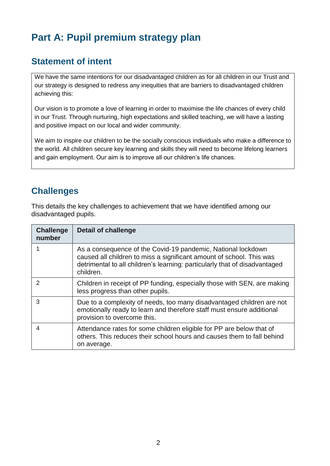## **Part A: Pupil premium strategy plan**

#### **Statement of intent**

We have the same intentions for our disadvantaged children as for all children in our Trust and our strategy is designed to redress any inequities that are barriers to disadvantaged children achieving this:

Our vision is to promote a love of learning in order to maximise the life chances of every child in our Trust. Through nurturing, high expectations and skilled teaching, we will have a lasting and positive impact on our local and wider community.

We aim to inspire our children to be the socially conscious individuals who make a difference to the world. All children secure key learning and skills they will need to become lifelong learners and gain employment. Our aim is to improve all our children's life chances.

#### **Challenges**

This details the key challenges to achievement that we have identified among our disadvantaged pupils.

| <b>Challenge</b><br>number | <b>Detail of challenge</b>                                                                                                                                                                                                      |
|----------------------------|---------------------------------------------------------------------------------------------------------------------------------------------------------------------------------------------------------------------------------|
|                            | As a consequence of the Covid-19 pandemic, National lockdown<br>caused all children to miss a significant amount of school. This was<br>detrimental to all children's learning: particularly that of disadvantaged<br>children. |
| 2                          | Children in receipt of PP funding, especially those with SEN, are making<br>less progress than other pupils.                                                                                                                    |
| 3                          | Due to a complexity of needs, too many disadvantaged children are not<br>emotionally ready to learn and therefore staff must ensure additional<br>provision to overcome this.                                                   |
| 4                          | Attendance rates for some children eligible for PP are below that of<br>others. This reduces their school hours and causes them to fall behind<br>on average.                                                                   |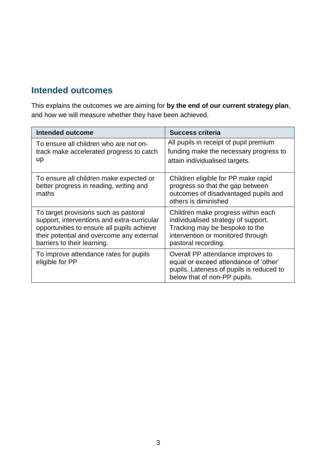#### **Intended outcomes**

This explains the outcomes we are aiming for **by the end of our current strategy plan**, and how we will measure whether they have been achieved.

| <b>Intended outcome</b>                                                                                                                                                                                        | <b>Success criteria</b>                                                                                                                                                 |
|----------------------------------------------------------------------------------------------------------------------------------------------------------------------------------------------------------------|-------------------------------------------------------------------------------------------------------------------------------------------------------------------------|
| To ensure all children who are not on-<br>track make accelerated progress to catch<br>up                                                                                                                       | All pupils in receipt of pupil premium<br>funding make the necessary progress to<br>attain individualised targets.                                                      |
| To ensure all children make expected or<br>better progress in reading, writing and<br>maths                                                                                                                    | Children eligible for PP make rapid<br>progress so that the gap between<br>outcomes of disadvantaged pupils and<br>others is diminished                                 |
| To target provisions such as pastoral<br>support, interventions and extra-curricular<br>opportunities to ensure all pupils achieve<br>their potential and overcome any external<br>barriers to their learning. | Children make progress within each<br>individualised strategy of support.<br>Tracking may be bespoke to the<br>intervention or monitored through<br>pastoral recording. |
| To improve attendance rates for pupils<br>eligible for PP                                                                                                                                                      | Overall PP attendance improves to<br>equal or exceed attendance of 'other'<br>pupils. Lateness of pupils is reduced to<br>below that of non-PP pupils.                  |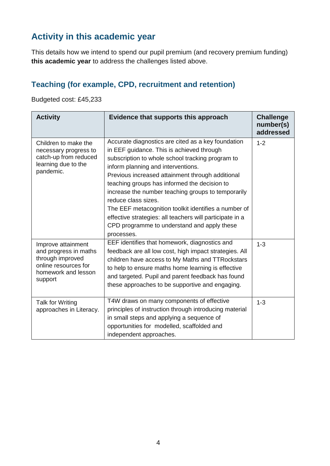### **Activity in this academic year**

This details how we intend to spend our pupil premium (and recovery premium funding) **this academic year** to address the challenges listed above.

#### **Teaching (for example, CPD, recruitment and retention)**

Budgeted cost: £45,233

| <b>Activity</b>                                                                                                           | Evidence that supports this approach                                                                                                                                                                                                                                                                                                                                                                                                                                                                                                                        | <b>Challenge</b><br>number(s)<br>addressed |
|---------------------------------------------------------------------------------------------------------------------------|-------------------------------------------------------------------------------------------------------------------------------------------------------------------------------------------------------------------------------------------------------------------------------------------------------------------------------------------------------------------------------------------------------------------------------------------------------------------------------------------------------------------------------------------------------------|--------------------------------------------|
| Children to make the<br>necessary progress to<br>catch-up from reduced<br>learning due to the<br>pandemic.                | Accurate diagnostics are cited as a key foundation<br>in EEF guidance. This is achieved through<br>subscription to whole school tracking program to<br>inform planning and interventions.<br>Previous increased attainment through additional<br>teaching groups has informed the decision to<br>increase the number teaching groups to temporarily<br>reduce class sizes.<br>The EEF metacognition toolkit identifies a number of<br>effective strategies: all teachers will participate in a<br>CPD programme to understand and apply these<br>processes. | $1 - 2$                                    |
| Improve attainment<br>and progress in maths<br>through improved<br>online resources for<br>homework and lesson<br>support | EEF identifies that homework, diagnostics and<br>feedback are all low cost, high impact strategies. All<br>children have access to My Maths and TTRockstars<br>to help to ensure maths home learning is effective<br>and targeted. Pupil and parent feedback has found<br>these approaches to be supportive and engaging.                                                                                                                                                                                                                                   | $1 - 3$                                    |
| Talk for Writing<br>approaches in Literacy.                                                                               | T4W draws on many components of effective<br>principles of instruction through introducing material<br>in small steps and applying a sequence of<br>opportunities for modelled, scaffolded and<br>independent approaches.                                                                                                                                                                                                                                                                                                                                   | $1 - 3$                                    |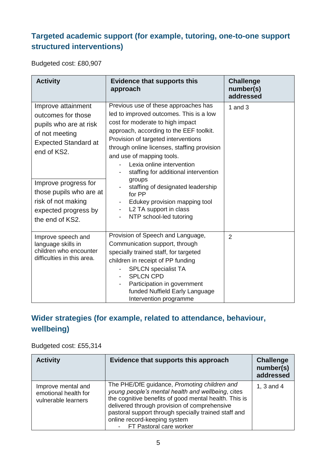#### **Targeted academic support (for example, tutoring, one-to-one support structured interventions)**

Budgeted cost: £80,907

| <b>Activity</b>                                                                                                                                                                                             | <b>Evidence that supports this</b><br>approach                                                                                                                                                                                                                                                                                                                                                                                                   | <b>Challenge</b><br>number(s)<br>addressed |
|-------------------------------------------------------------------------------------------------------------------------------------------------------------------------------------------------------------|--------------------------------------------------------------------------------------------------------------------------------------------------------------------------------------------------------------------------------------------------------------------------------------------------------------------------------------------------------------------------------------------------------------------------------------------------|--------------------------------------------|
| Improve attainment<br>outcomes for those<br>pupils who are at risk<br>of not meeting<br><b>Expected Standard at</b><br>end of KS2.<br>Improve progress for<br>those pupils who are at<br>risk of not making | Previous use of these approaches has<br>led to improved outcomes. This is a low<br>cost for moderate to high impact<br>approach, according to the EEF toolkit.<br>Provision of targeted interventions<br>through online licenses, staffing provision<br>and use of mapping tools.<br>Lexia online intervention<br>staffing for additional intervention<br>groups<br>staffing of designated leadership<br>for PP<br>Edukey provision mapping tool | 1 and $3$                                  |
| expected progress by<br>the end of KS2.                                                                                                                                                                     | L2 TA support in class<br>$\overline{\phantom{a}}$<br>NTP school-led tutoring                                                                                                                                                                                                                                                                                                                                                                    |                                            |
| Improve speech and<br>language skills in<br>children who encounter<br>difficulties in this area.                                                                                                            | Provision of Speech and Language,<br>Communication support, through<br>specially trained staff, for targeted<br>children in receipt of PP funding<br><b>SPLCN</b> specialist TA<br><b>SPLCN CPD</b><br>-<br>Participation in government<br>funded Nuffield Early Language<br>Intervention programme                                                                                                                                              | $\overline{2}$                             |

#### **Wider strategies (for example, related to attendance, behaviour, wellbeing)**

#### Budgeted cost: £55,314

| <b>Activity</b>                                                   | Evidence that supports this approach                                                                                                                                                                                                                                                                                            | <b>Challenge</b><br>number(s)<br>addressed |
|-------------------------------------------------------------------|---------------------------------------------------------------------------------------------------------------------------------------------------------------------------------------------------------------------------------------------------------------------------------------------------------------------------------|--------------------------------------------|
| Improve mental and<br>emotional health for<br>vulnerable learners | The PHE/DfE guidance, Promoting children and<br>young people's mental health and wellbeing, cites<br>the cognitive benefits of good mental health. This is<br>delivered through provision of comprehensive<br>pastoral support through specially trained staff and<br>online record-keeping system<br>- FT Pastoral care worker | 1, $3$ and $4$                             |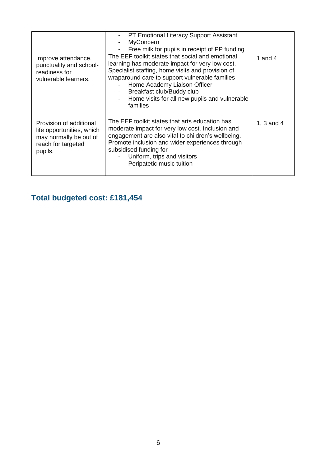| Improve attendance,<br>punctuality and school-<br>readiness for<br>vulnerable learners.                         | <b>PT Emotional Literacy Support Assistant</b><br><b>MyConcern</b><br>Free milk for pupils in receipt of PP funding<br>The EEF toolkit states that social and emotional<br>learning has moderate impact for very low cost.<br>Specialist staffing, home visits and provision of<br>wraparound care to support vulnerable families<br>Home Academy Liaison Officer<br>Breakfast club/Buddy club<br>Home visits for all new pupils and vulnerable<br>families | 1 and 4    |
|-----------------------------------------------------------------------------------------------------------------|-------------------------------------------------------------------------------------------------------------------------------------------------------------------------------------------------------------------------------------------------------------------------------------------------------------------------------------------------------------------------------------------------------------------------------------------------------------|------------|
| Provision of additional<br>life opportunities, which<br>may normally be out of<br>reach for targeted<br>pupils. | The EEF toolkit states that arts education has<br>moderate impact for very low cost. Inclusion and<br>engagement are also vital to children's wellbeing.<br>Promote inclusion and wider experiences through<br>subsidised funding for<br>Uniform, trips and visitors<br>Peripatetic music tuition                                                                                                                                                           | 1, 3 and 4 |

## **Total budgeted cost: £181,454**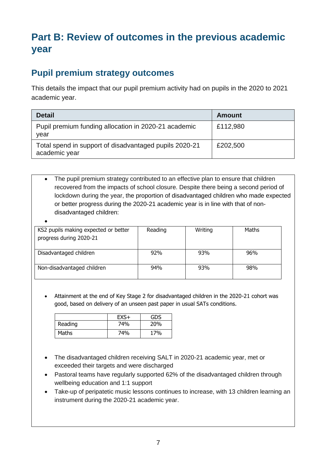## **Part B: Review of outcomes in the previous academic year**

#### **Pupil premium strategy outcomes**

This details the impact that our pupil premium activity had on pupils in the 2020 to 2021 academic year.

| <b>Detail</b>                                                           | <b>Amount</b> |
|-------------------------------------------------------------------------|---------------|
| Pupil premium funding allocation in 2020-21 academic<br>year            | £112,980      |
| Total spend in support of disadvantaged pupils 2020-21<br>academic year | £202,500      |

• The pupil premium strategy contributed to an effective plan to ensure that children recovered from the impacts of school closure. Despite there being a second period of lockdown during the year, the proportion of disadvantaged children who made expected or better progress during the 2020-21 academic year is in line with that of nondisadvantaged children:

| KS2 pupils making expected or better<br>progress during 2020-21 | Reading | Writing | Maths |
|-----------------------------------------------------------------|---------|---------|-------|
| Disadvantaged children                                          | 92%     | 93%     | 96%   |
| Non-disadvantaged children                                      | 94%     | 93%     | 98%   |

• Attainment at the end of Key Stage 2 for disadvantaged children in the 2020-21 cohort was good, based on delivery of an unseen past paper in usual SATs conditions.

|         | $EXS+$ | GDS        |
|---------|--------|------------|
| Reading | 74%    | <b>20%</b> |
| Maths   | 74%    | 17%        |

- The disadvantaged children receiving SALT in 2020-21 academic year, met or exceeded their targets and were discharged
- Pastoral teams have regularly supported 62% of the disadvantaged children through wellbeing education and 1:1 support
- Take-up of peripatetic music lessons continues to increase, with 13 children learning an instrument during the 2020-21 academic year.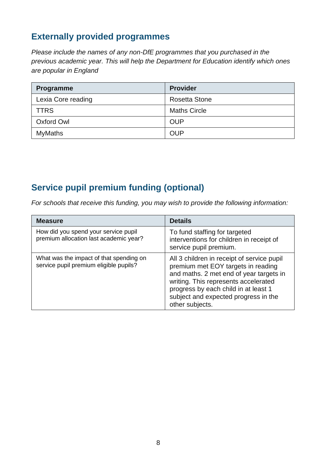### **Externally provided programmes**

*Please include the names of any non-DfE programmes that you purchased in the previous academic year. This will help the Department for Education identify which ones are popular in England*

| Programme          | <b>Provider</b>     |
|--------------------|---------------------|
| Lexia Core reading | Rosetta Stone       |
| <b>TTRS</b>        | <b>Maths Circle</b> |
| Oxford Owl         | <b>OUP</b>          |
| <b>MyMaths</b>     | <b>OUP</b>          |

### **Service pupil premium funding (optional)**

*For schools that receive this funding, you may wish to provide the following information:* 

| <b>Measure</b>                                                                    | <b>Details</b>                                                                                                                                                                                                                                                         |
|-----------------------------------------------------------------------------------|------------------------------------------------------------------------------------------------------------------------------------------------------------------------------------------------------------------------------------------------------------------------|
| How did you spend your service pupil<br>premium allocation last academic year?    | To fund staffing for targeted<br>interventions for children in receipt of<br>service pupil premium.                                                                                                                                                                    |
| What was the impact of that spending on<br>service pupil premium eligible pupils? | All 3 children in receipt of service pupil<br>premium met EOY targets in reading<br>and maths. 2 met end of year targets in<br>writing. This represents accelerated<br>progress by each child in at least 1<br>subject and expected progress in the<br>other subjects. |